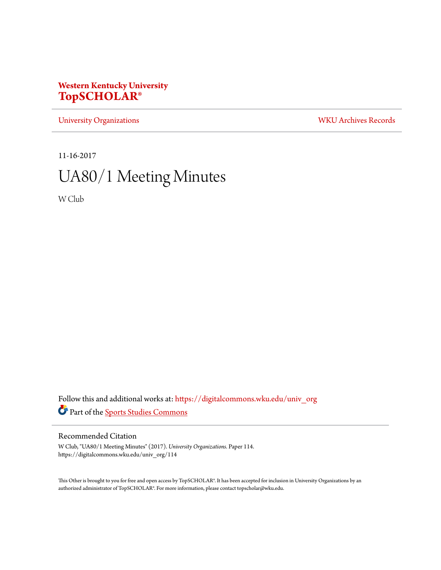## **Western Kentucky University [TopSCHOLAR®](https://digitalcommons.wku.edu?utm_source=digitalcommons.wku.edu%2Funiv_org%2F114&utm_medium=PDF&utm_campaign=PDFCoverPages)**

[University Organizations](https://digitalcommons.wku.edu/univ_org?utm_source=digitalcommons.wku.edu%2Funiv_org%2F114&utm_medium=PDF&utm_campaign=PDFCoverPages) [WKU Archives Records](https://digitalcommons.wku.edu/dlsc_ua_records?utm_source=digitalcommons.wku.edu%2Funiv_org%2F114&utm_medium=PDF&utm_campaign=PDFCoverPages)

11-16-2017

# UA80/1 Meeting Minutes

W Club

Follow this and additional works at: [https://digitalcommons.wku.edu/univ\\_org](https://digitalcommons.wku.edu/univ_org?utm_source=digitalcommons.wku.edu%2Funiv_org%2F114&utm_medium=PDF&utm_campaign=PDFCoverPages) Part of the [Sports Studies Commons](http://network.bepress.com/hgg/discipline/1198?utm_source=digitalcommons.wku.edu%2Funiv_org%2F114&utm_medium=PDF&utm_campaign=PDFCoverPages)

### Recommended Citation

W Club, "UA80/1 Meeting Minutes" (2017). *University Organizations.* Paper 114. https://digitalcommons.wku.edu/univ\_org/114

This Other is brought to you for free and open access by TopSCHOLAR®. It has been accepted for inclusion in University Organizations by an authorized administrator of TopSCHOLAR®. For more information, please contact topscholar@wku.edu.